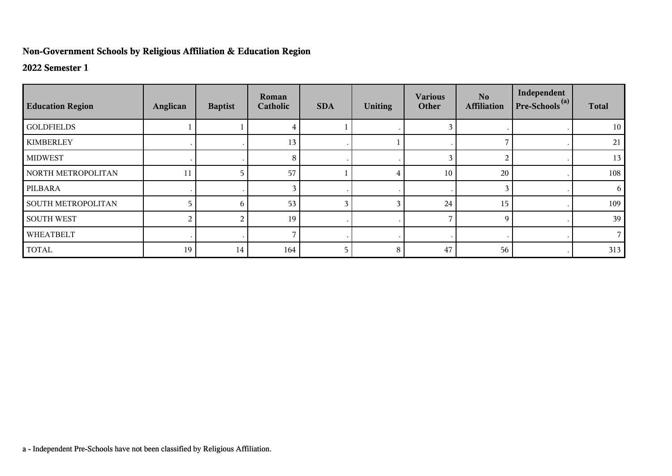## **Non-Government Schools by Religious Affiliation & Education Region**

## **2022 Semester 1**

| <b>Education Region</b>   | Anglican | <b>Baptist</b> | Roman<br>Catholic | <b>SDA</b> | <b>Uniting</b> | <b>Various</b><br>Other | No.<br><b>Affiliation</b> | Independent<br>$Pre-Schools(a)$ | <b>Total</b> |
|---------------------------|----------|----------------|-------------------|------------|----------------|-------------------------|---------------------------|---------------------------------|--------------|
| <b>GOLDFIELDS</b>         |          |                |                   |            |                | 3                       |                           |                                 | 10           |
| <b>KIMBERLEY</b>          |          |                | 13                |            |                |                         |                           |                                 | 21           |
| <b>MIDWEST</b>            |          |                | 8                 |            |                | 3                       | 2                         |                                 | 13           |
| NORTH METROPOLITAN        | 11       |                | 57                |            |                | 10                      | 20                        |                                 | 108          |
| PILBARA                   |          |                |                   |            |                |                         | 3                         |                                 | 6            |
| <b>SOUTH METROPOLITAN</b> |          | 6              | 53                |            |                | 24                      | 15                        |                                 | 109          |
| <b>SOUTH WEST</b>         |          |                | 19                |            |                | ⇁                       | 9                         |                                 | 39           |
| WHEATBELT                 |          |                |                   |            |                |                         |                           |                                 |              |
| <b>TOTAL</b>              | 19       | 14             | 164               | 5          | 8              | 47                      | 56                        |                                 | 313          |